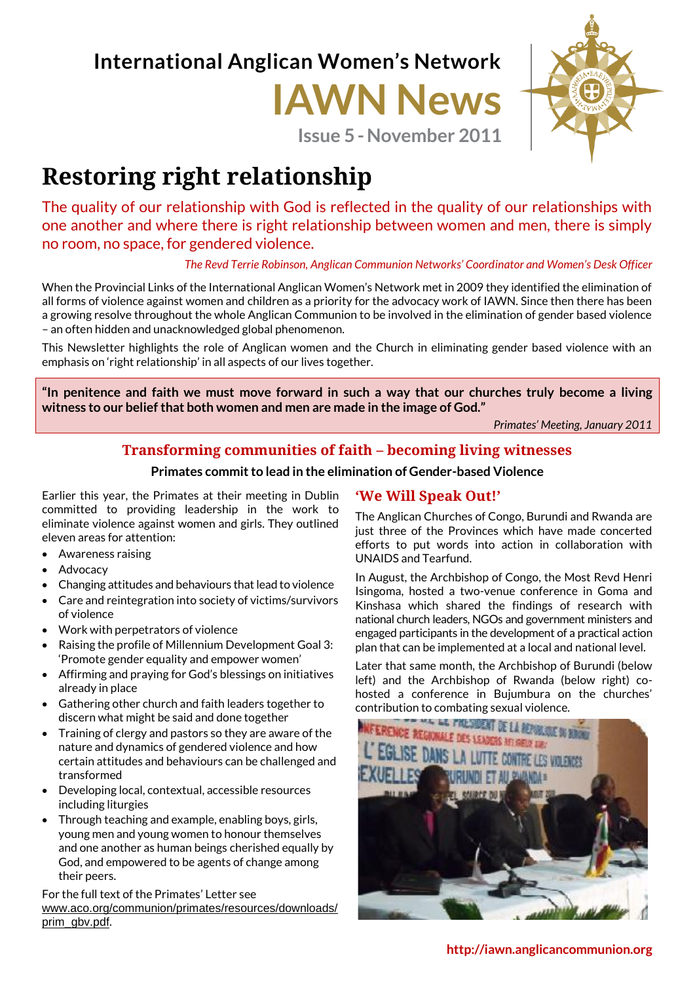**International Anglican Women's Network**

# **IAWN News**

**Issue 5-November 2011**



# **Restoring right relationship**

The quality of our relationship with God is reflected in the quality of our relationships with one another and where there is right relationship between women and men, there is simply no room, no space, for gendered violence.

*The Revd Terrie Robinson, Anglican Communion Networks' Coordinator and Women's Desk Officer*

When the Provincial Links of the International Anglican Women's Network met in 2009 they identified the elimination of all forms of violence against women and children as a priority for the advocacy work of IAWN. Since then there has been a growing resolve throughout the whole Anglican Communion to be involved in the elimination of gender based violence – an often hidden and unacknowledged global phenomenon.

This Newsletter highlights the role of Anglican women and the Church in eliminating gender based violence with an emphasis on 'right relationship' in all aspects of our lives together.

**"In penitence and faith we must move forward in such a way that our churches truly become a living witness to our belief that both women and men are made in the image of God."**

*Primates' Meeting, January 2011*

# **Transforming communities of faith – becoming living witnesses**

**Primates commit to lead in the elimination of Gender-based Violence**

Earlier this year, the Primates at their meeting in Dublin committed to providing leadership in the work to eliminate violence against women and girls. They outlined eleven areas for attention:

- Awareness raising
- Advocacy
- Changing attitudes and behaviours that lead to violence
- Care and reintegration into society of victims/survivors of violence
- Work with perpetrators of violence
- Raising the profile of Millennium Development Goal 3: 'Promote gender equality and empower women'
- Affirming and praying for God's blessings on initiatives already in place
- Gathering other church and faith leaders together to discern what might be said and done together
- Training of clergy and pastors so they are aware of the nature and dynamics of gendered violence and how certain attitudes and behaviours can be challenged and transformed
- Developing local, contextual, accessible resources including liturgies
- Through teaching and example, enabling boys, girls, young men and young women to honour themselves and one another as human beings cherished equally by God, and empowered to be agents of change among their peers.

For the full text of the Primates' Letter see [www.aco.org/communion/primates/resources/downloads/](http://www.aco.org/communion/primates/resources/downloads/prim_gbv.pdf) [prim\\_gbv.pdf](http://www.aco.org/communion/primates/resources/downloads/prim_gbv.pdf).

# **'We Will Speak Out!'**

The Anglican Churches of Congo, Burundi and Rwanda are just three of the Provinces which have made concerted efforts to put words into action in collaboration with UNAIDS and Tearfund.

In August, the Archbishop of Congo, the Most Revd Henri Isingoma, hosted a two-venue conference in Goma and Kinshasa which shared the findings of research with national church leaders, NGOs and government ministers and engaged participants in the development of a practical action plan that can be implemented at a local and national level.

Later that same month, the Archbishop of Burundi (below left) and the Archbishop of Rwanda (below right) cohosted a conference in Bujumbura on the churches'

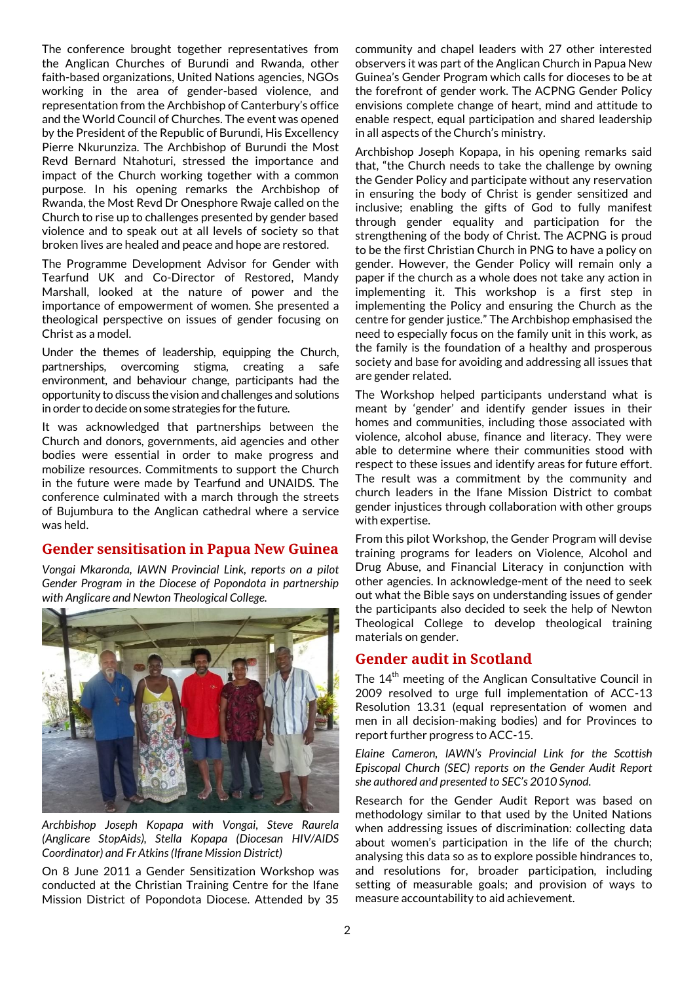The conference brought together representatives from the Anglican Churches of Burundi and Rwanda, other faith-based organizations, United Nations agencies, NGOs working in the area of gender-based violence, and representation from the Archbishop of Canterbury's office and the World Council of Churches. The event was opened by the President of the Republic of Burundi, His Excellency Pierre Nkurunziza. The Archbishop of Burundi the Most Revd Bernard Ntahoturi, stressed the importance and impact of the Church working together with a common purpose. In his opening remarks the Archbishop of Rwanda, the Most Revd Dr Onesphore Rwaje called on the Church to rise up to challenges presented by gender based violence and to speak out at all levels of society so that broken lives are healed and peace and hope are restored.

The Programme Development Advisor for Gender with Tearfund UK and Co-Director of Restored, Mandy Marshall, looked at the nature of power and the importance of empowerment of women. She presented a theological perspective on issues of gender focusing on Christ as a model.

Under the themes of leadership, equipping the Church, partnerships, overcoming stigma, creating a safe environment, and behaviour change, participants had the opportunity to discuss the vision and challenges and solutions in order to decide on some strategies for the future.

It was acknowledged that partnerships between the Church and donors, governments, aid agencies and other bodies were essential in order to make progress and mobilize resources. Commitments to support the Church in the future were made by Tearfund and UNAIDS. The conference culminated with a march through the streets of Bujumbura to the Anglican cathedral where a service was held.

# **Gender sensitisation in Papua New Guinea**

*Vongai Mkaronda, IAWN Provincial Link, reports on a pilot Gender Program in the Diocese of Popondota in partnership with Anglicare and Newton Theological College.*



*Archbishop Joseph Kopapa with Vongai, Steve Raurela (Anglicare StopAids), Stella Kopapa (Diocesan HIV/AIDS Coordinator) and Fr Atkins (Ifrane Mission District)*

On 8 June 2011 a Gender Sensitization Workshop was conducted at the Christian Training Centre for the Ifane Mission District of Popondota Diocese. Attended by 35 community and chapel leaders with 27 other interested observers it was part of the Anglican Church in Papua New Guinea's Gender Program which calls for dioceses to be at the forefront of gender work. The ACPNG Gender Policy envisions complete change of heart, mind and attitude to enable respect, equal participation and shared leadership in all aspects of the Church's ministry.

Archbishop Joseph Kopapa, in his opening remarks said that, "the Church needs to take the challenge by owning the Gender Policy and participate without any reservation in ensuring the body of Christ is gender sensitized and inclusive; enabling the gifts of God to fully manifest through gender equality and participation for the strengthening of the body of Christ. The ACPNG is proud to be the first Christian Church in PNG to have a policy on gender. However, the Gender Policy will remain only a paper if the church as a whole does not take any action in implementing it. This workshop is a first step in implementing the Policy and ensuring the Church as the centre for gender justice." The Archbishop emphasised the need to especially focus on the family unit in this work, as the family is the foundation of a healthy and prosperous society and base for avoiding and addressing all issues that are gender related.

The Workshop helped participants understand what is meant by 'gender' and identify gender issues in their homes and communities, including those associated with violence, alcohol abuse, finance and literacy. They were able to determine where their communities stood with respect to these issues and identify areas for future effort. The result was a commitment by the community and church leaders in the Ifane Mission District to combat gender injustices through collaboration with other groups with expertise.

From this pilot Workshop, the Gender Program will devise training programs for leaders on Violence, Alcohol and Drug Abuse, and Financial Literacy in conjunction with other agencies. In acknowledge-ment of the need to seek out what the Bible says on understanding issues of gender the participants also decided to seek the help of Newton Theological College to develop theological training materials on gender.

# **Gender audit in Scotland**

The  $14<sup>th</sup>$  meeting of the Anglican Consultative Council in 2009 resolved to urge full implementation of ACC-13 Resolution 13.31 (equal representation of women and men in all decision-making bodies) and for Provinces to report further progress to ACC-15.

*Elaine Cameron, IAWN's Provincial Link for the Scottish Episcopal Church (SEC) reports on the Gender Audit Report she authored and presented to SEC's 2010 Synod.* 

Research for the Gender Audit Report was based on methodology similar to that used by the United Nations when addressing issues of discrimination: collecting data about women's participation in the life of the church; analysing this data so as to explore possible hindrances to, and resolutions for, broader participation, including setting of measurable goals; and provision of ways to measure accountability to aid achievement.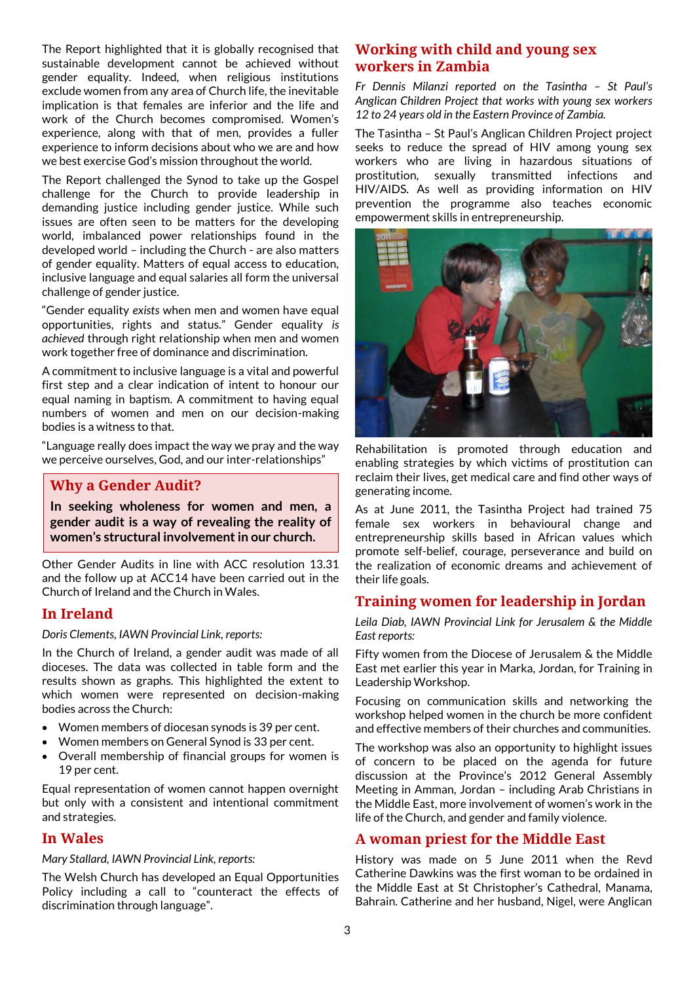The Report highlighted that it is globally recognised that sustainable development cannot be achieved without gender equality. Indeed, when religious institutions exclude women from any area of Church life, the inevitable implication is that females are inferior and the life and work of the Church becomes compromised. Women's experience, along with that of men, provides a fuller experience to inform decisions about who we are and how we best exercise God's mission throughout the world.

The Report challenged the Synod to take up the Gospel challenge for the Church to provide leadership in demanding justice including gender justice. While such issues are often seen to be matters for the developing world, imbalanced power relationships found in the developed world – including the Church - are also matters of gender equality. Matters of equal access to education, inclusive language and equal salaries all form the universal challenge of gender justice.

"Gender equality *exists* when men and women have equal opportunities, rights and status." Gender equality *is achieved* through right relationship when men and women work together free of dominance and discrimination.

A commitment to inclusive language is a vital and powerful first step and a clear indication of intent to honour our equal naming in baptism. A commitment to having equal numbers of women and men on our decision-making bodies is a witness to that.

"Language really does impact the way we pray and the way we perceive ourselves, God, and our inter-relationships"

# **Why a Gender Audit?**

**In seeking wholeness for women and men, a gender audit is a way of revealing the reality of women's structural involvement in our church.**

Other Gender Audits in line with ACC resolution 13.31 and the follow up at ACC14 have been carried out in the Church of Ireland and the Church in Wales.

# **In Ireland**

*Doris Clements, IAWN Provincial Link, reports:*

In the Church of Ireland, a gender audit was made of all dioceses. The data was collected in table form and the results shown as graphs. This highlighted the extent to which women were represented on decision-making bodies across the Church:

- Women members of diocesan synods is 39 per cent.
- Women members on General Synod is 33 per cent.
- Overall membership of financial groups for women is 19 per cent.

Equal representation of women cannot happen overnight but only with a consistent and intentional commitment and strategies.

# **In Wales**

#### *Mary Stallard, IAWN Provincial Link, reports:*

The Welsh Church has developed an Equal Opportunities Policy including a call to "counteract the effects of discrimination through language".

# **Working with child and young sex workers in Zambia**

*Fr Dennis Milanzi reported on the Tasintha – St Paul's Anglican Children Project that works with young sex workers 12 to 24 years old in the Eastern Province of Zambia.* 

The Tasintha – St Paul's Anglican Children Project project seeks to reduce the spread of HIV among young sex workers who are living in hazardous situations of prostitution, sexually transmitted infections and HIV/AIDS. As well as providing information on HIV prevention the programme also teaches economic empowerment skills in entrepreneurship.



Rehabilitation is promoted through education and enabling strategies by which victims of prostitution can reclaim their lives, get medical care and find other ways of generating income.

As at June 2011, the Tasintha Project had trained 75 female sex workers in behavioural change and entrepreneurship skills based in African values which promote self-belief, courage, perseverance and build on the realization of economic dreams and achievement of their life goals.

# **Training women for leadership in Jordan**

*Leila Diab, IAWN Provincial Link for Jerusalem & the Middle East reports:*

Fifty women from the Diocese of Jerusalem & the Middle East met earlier this year in Marka, Jordan, for Training in Leadership Workshop.

Focusing on communication skills and networking the workshop helped women in the church be more confident and effective members of their churches and communities.

The workshop was also an opportunity to highlight issues of concern to be placed on the agenda for future discussion at the Province's 2012 General Assembly Meeting in Amman, Jordan – including Arab Christians in the Middle East, more involvement of women's work in the life of the Church, and gender and family violence.

#### **A woman priest for the Middle East**

History was made on 5 June 2011 when the Revd Catherine Dawkins was the first woman to be ordained in the Middle East at St Christopher's Cathedral, Manama, Bahrain. Catherine and her husband, Nigel, were Anglican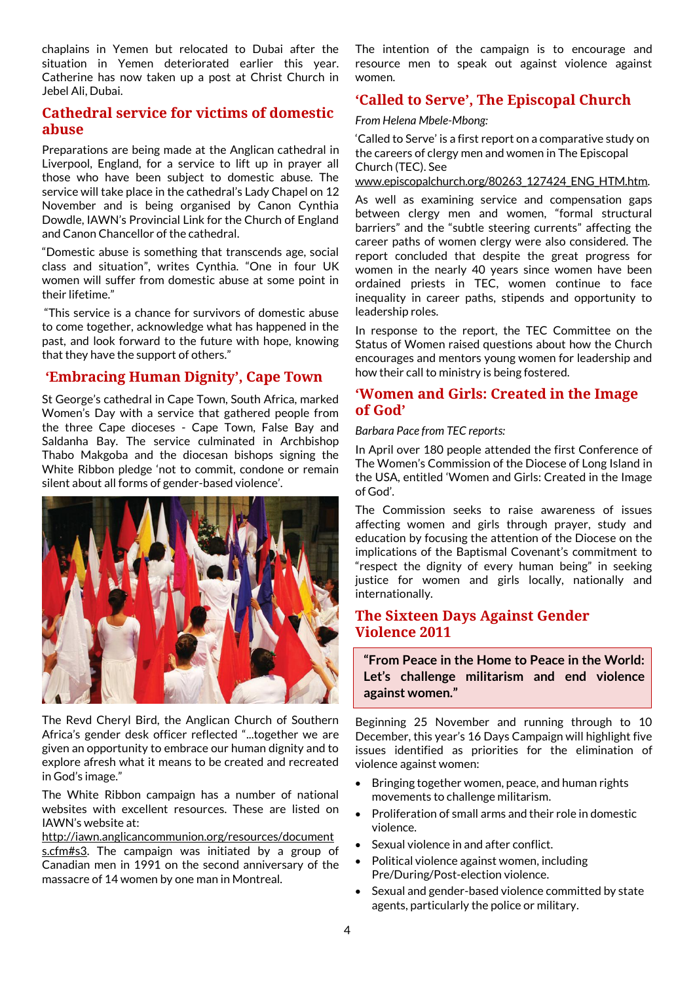chaplains in Yemen but relocated to Dubai after the situation in Yemen deteriorated earlier this year. Catherine has now taken up a post at Christ Church in Jebel Ali, Dubai.

# **Cathedral service for victims of domestic abuse**

Preparations are being made at the Anglican cathedral in Liverpool, England, for a service to lift up in prayer all those who have been subject to domestic abuse. The service will take place in the cathedral's Lady Chapel on 12 November and is being organised by Canon Cynthia Dowdle, IAWN's Provincial Link for the Church of England and Canon Chancellor of the cathedral.

"Domestic abuse is something that transcends age, social class and situation", writes Cynthia. "One in four UK women will suffer from domestic abuse at some point in their lifetime."

"This service is a chance for survivors of domestic abuse to come together, acknowledge what has happened in the past, and look forward to the future with hope, knowing that they have the support of others."

# **'Embracing Human Dignity', Cape Town**

St George's cathedral in Cape Town, South Africa, marked Women's Day with a service that gathered people from the three Cape dioceses - Cape Town, False Bay and Saldanha Bay. The service culminated in Archbishop Thabo Makgoba and the diocesan bishops signing the White Ribbon pledge 'not to commit, condone or remain silent about all forms of gender-based violence'.



The Revd Cheryl Bird, the Anglican Church of Southern Africa's gender desk officer reflected "...together we are given an opportunity to embrace our human dignity and to explore afresh what it means to be created and recreated in God's image."

The White Ribbon campaign has a number of national websites with excellent resources. These are listed on IAWN's website at:

[http://iawn.anglicancommunion.org/resources/document](http://iawn.anglicancommunion.org/resources/documents.cfm#s3) [s.cfm#s3.](http://iawn.anglicancommunion.org/resources/documents.cfm#s3) The campaign was initiated by a group of Canadian men in 1991 on the second anniversary of the massacre of 14 women by one man in Montreal.

The intention of the campaign is to encourage and resource men to speak out against violence against women.

# **'Called to Serve', The Episcopal Church**

*From Helena Mbele-Mbong:*

'Called to Serve' is a first report on a comparative study on the careers of clergy men and women in The Episcopal Church (TEC). See

[www.episcopalchurch.org/80263\\_127424\\_ENG\\_HTM.htm.](http://www.episcopalchurch.org/80263_127424_ENG_HTM.htm)

As well as examining service and compensation gaps between clergy men and women, "formal structural barriers" and the "subtle steering currents" affecting the career paths of women clergy were also considered. The report concluded that despite the great progress for women in the nearly 40 years since women have been ordained priests in TEC, women continue to face inequality in career paths, stipends and opportunity to leadership roles.

In response to the report, the TEC Committee on the Status of Women raised questions about how the Church encourages and mentors young women for leadership and how their call to ministry is being fostered.

# **'Women and Girls: Created in the Image of God'**

#### *Barbara Pace from TEC reports:*

In April over 180 people attended the first Conference of The Women's Commission of the Diocese of Long Island in the USA, entitled 'Women and Girls: Created in the Image of God'.

The Commission seeks to raise awareness of issues affecting women and girls through prayer, study and education by focusing the attention of the Diocese on the implications of the Baptismal Covenant's commitment to "respect the dignity of every human being" in seeking justice for women and girls locally, nationally and internationally.

# **The Sixteen Days Against Gender Violence 2011**

**"From Peace in the Home to Peace in the World: Let's challenge militarism and end violence against women."**

Beginning 25 November and running through to 10 December, this year's 16 Days Campaign will highlight five issues identified as priorities for the elimination of violence against women:

- Bringing together women, peace, and human rights movements to challenge militarism.
- Proliferation of small arms and their role in domestic violence.
- Sexual violence in and after conflict.
- Political violence against women, including Pre/During/Post-election violence.
- Sexual and gender-based violence committed by state agents, particularly the police or military.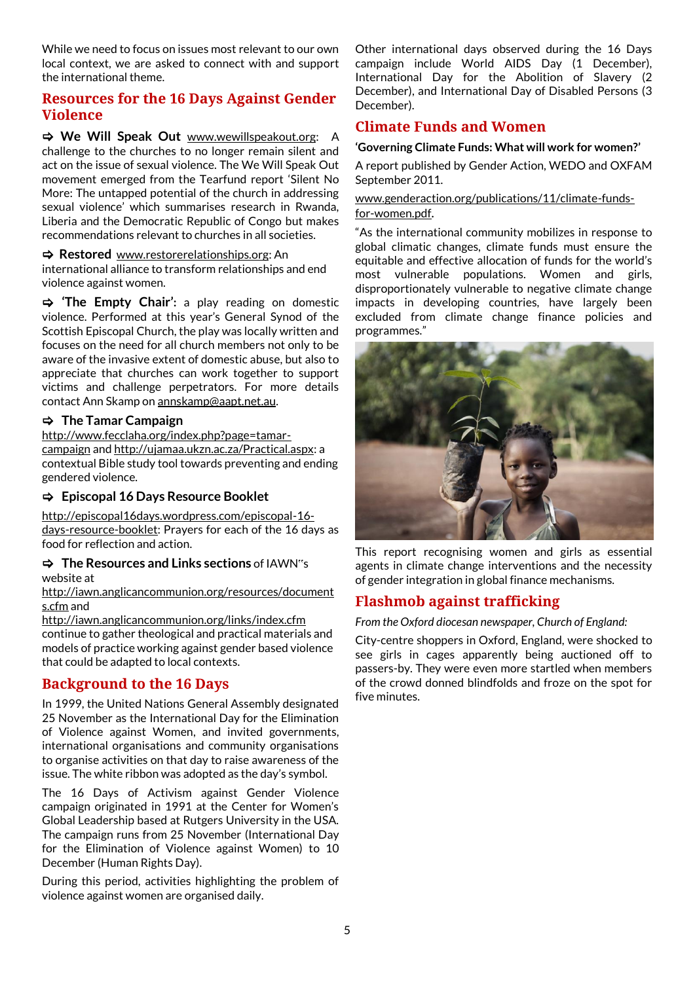While we need to focus on issues most relevant to our own local context, we are asked to connect with and support the international theme.

# **Resources for the 16 Days Against Gender Violence**

 $\Rightarrow$  **We Will Speak Out** [www.wewillspeakout.org:](http://www.wewillspeakout.org/) challenge to the churches to no longer remain silent and act on the issue of sexual violence. The We Will Speak Out movement emerged from the Tearfund report 'Silent No More: The untapped potential of the church in addressing sexual violence' which summarises research in Rwanda, Liberia and the Democratic Republic of Congo but makes recommendations relevant to churches in all societies.

 **Restored** [www.restorerelationships.org:](http://www.restorerelationships.org/) An international alliance to transform relationships and end violence against women.

 **'The Empty Chair':** a play reading on domestic violence. Performed at this year's General Synod of the Scottish Episcopal Church, the play was locally written and focuses on the need for all church members not only to be aware of the invasive extent of domestic abuse, but also to appreciate that churches can work together to support victims and challenge perpetrators. For more details contact Ann Skamp o[n annskamp@aapt.net.au.](mailto:annskamp@aapt.net.au)

#### **The Tamar Campaign**

[http://www.fecclaha.org/index.php?page=tamar](http://www.fecclaha.org/index.php?page=tamar-campaign)[campaign](http://www.fecclaha.org/index.php?page=tamar-campaign) and [http://ujamaa.ukzn.ac.za/Practical.aspx:](http://ujamaa.ukzn.ac.za/Practical.aspx) a contextual Bible study tool towards preventing and ending gendered violence.

#### **Episcopal 16 Days Resource Booklet**

[http://episcopal16days.wordpress.com/episcopal-16](http://episcopal16days.wordpress.com/episcopal-16-days-resource-booklet) [days-resource-booklet:](http://episcopal16days.wordpress.com/episcopal-16-days-resource-booklet) Prayers for each of the 16 days as food for reflection and action.

#### **The Resources and Links sections** of IAWN"s website at

[http://iawn.anglicancommunion.org/resources/document](http://iawn.anglicancommunion.org/resources/documents.cfm) [s.cfm](http://iawn.anglicancommunion.org/resources/documents.cfm) and

<http://iawn.anglicancommunion.org/links/index.cfm> continue to gather theological and practical materials and models of practice working against gender based violence that could be adapted to local contexts.

# **Background to the 16 Days**

In 1999, the United Nations General Assembly designated 25 November as the International Day for the Elimination of Violence against Women, and invited governments, international organisations and community organisations to organise activities on that day to raise awareness of the issue. The white ribbon was adopted as the day's symbol.

The 16 Days of Activism against Gender Violence campaign originated in 1991 at the Center for Women's Global Leadership based at Rutgers University in the USA. The campaign runs from 25 November (International Day for the Elimination of Violence against Women) to 10 December (Human Rights Day).

During this period, activities highlighting the problem of violence against women are organised daily.

Other international days observed during the 16 Days campaign include World AIDS Day (1 December), International Day for the Abolition of Slavery (2 December), and International Day of Disabled Persons (3 December).

# **Climate Funds and Women**

#### **'Governing Climate Funds: What will work for women?'**

A report published by Gender Action, WEDO and OXFAM September 2011.

#### [www.genderaction.org/publications/11/climate-funds](http://www.genderaction.org/publications/11/climate-funds-for-women.pdf)[for-women.pdf](http://www.genderaction.org/publications/11/climate-funds-for-women.pdf).

"As the international community mobilizes in response to global climatic changes, climate funds must ensure the equitable and effective allocation of funds for the world's most vulnerable populations. Women and girls, disproportionately vulnerable to negative climate change impacts in developing countries, have largely been excluded from climate change finance policies and programmes."



This report recognising women and girls as essential agents in climate change interventions and the necessity of gender integration in global finance mechanisms.

# **Flashmob against trafficking**

*From the Oxford diocesan newspaper, Church of England:*

City-centre shoppers in Oxford, England, were shocked to see girls in cages apparently being auctioned off to passers-by. They were even more startled when members of the crowd donned blindfolds and froze on the spot for five minutes.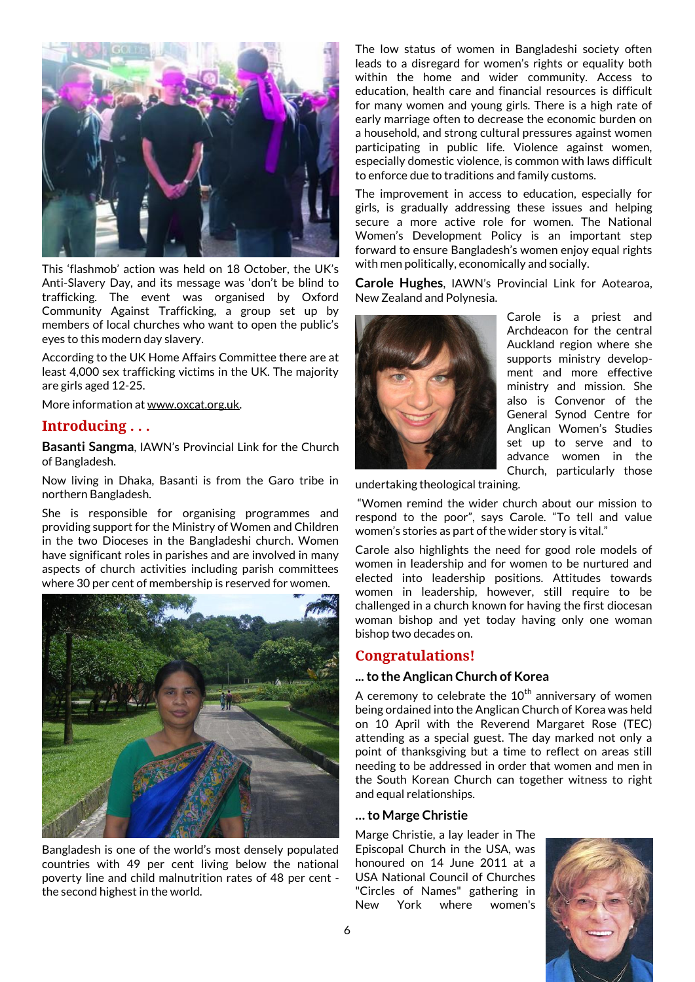

This 'flashmob' action was held on 18 October, the UK's Anti-Slavery Day, and its message was 'don't be blind to trafficking. The event was organised by Oxford Community Against Trafficking, a group set up by members of local churches who want to open the public's eyes to this modern day slavery.

According to the UK Home Affairs Committee there are at least 4,000 sex trafficking victims in the UK. The majority are girls aged 12-25.

More information a[t www.oxcat.org.uk.](http://www.oxcat.org.uk/)

#### **Introducing . . .**

**Basanti Sangma**, IAWN's Provincial Link for the Church of Bangladesh.

Now living in Dhaka, Basanti is from the Garo tribe in northern Bangladesh.

She is responsible for organising programmes and providing support for the Ministry of Women and Children in the two Dioceses in the Bangladeshi church. Women have significant roles in parishes and are involved in many aspects of church activities including parish committees where 30 per cent of membership is reserved for women.



Bangladesh is one of the world's most densely populated countries with 49 per cent living below the national poverty line and child malnutrition rates of 48 per cent the second highest in the world.

The low status of women in Bangladeshi society often leads to a disregard for women's rights or equality both within the home and wider community. Access to education, health care and financial resources is difficult for many women and young girls. There is a high rate of early marriage often to decrease the economic burden on a household, and strong cultural pressures against women participating in public life. Violence against women, especially domestic violence, is common with laws difficult to enforce due to traditions and family customs.

The improvement in access to education, especially for girls, is gradually addressing these issues and helping secure a more active role for women. The National Women's Development Policy is an important step forward to ensure Bangladesh's women enjoy equal rights with men politically, economically and socially.

**Carole Hughes**, IAWN's Provincial Link for Aotearoa, New Zealand and Polynesia.



Carole is a priest and Archdeacon for the central Auckland region where she supports ministry development and more effective ministry and mission. She also is Convenor of the General Synod Centre for Anglican Women's Studies set up to serve and to advance women in the Church, particularly those

undertaking theological training.

"Women remind the wider church about our mission to respond to the poor", says Carole. "To tell and value women's stories as part of the wider story is vital."

Carole also highlights the need for good role models of women in leadership and for women to be nurtured and elected into leadership positions. Attitudes towards women in leadership, however, still require to be challenged in a church known for having the first diocesan woman bishop and yet today having only one woman bishop two decades on.

#### **Congratulations!**

#### **...to the Anglican Church of Korea**

A ceremony to celebrate the  $10<sup>th</sup>$  anniversary of women being ordained into the Anglican Church of Korea was held on 10 April with the Reverend Margaret Rose (TEC) attending as a special guest. The day marked not only a point of thanksgiving but a time to reflect on areas still needing to be addressed in order that women and men in the South Korean Church can together witness to right and equal relationships.

#### **… to Marge Christie**

Marge Christie, a lay leader in The Episcopal Church in the USA, was honoured on 14 June 2011 at a USA National Council of Churches "Circles of Names" gathering in New York where women's